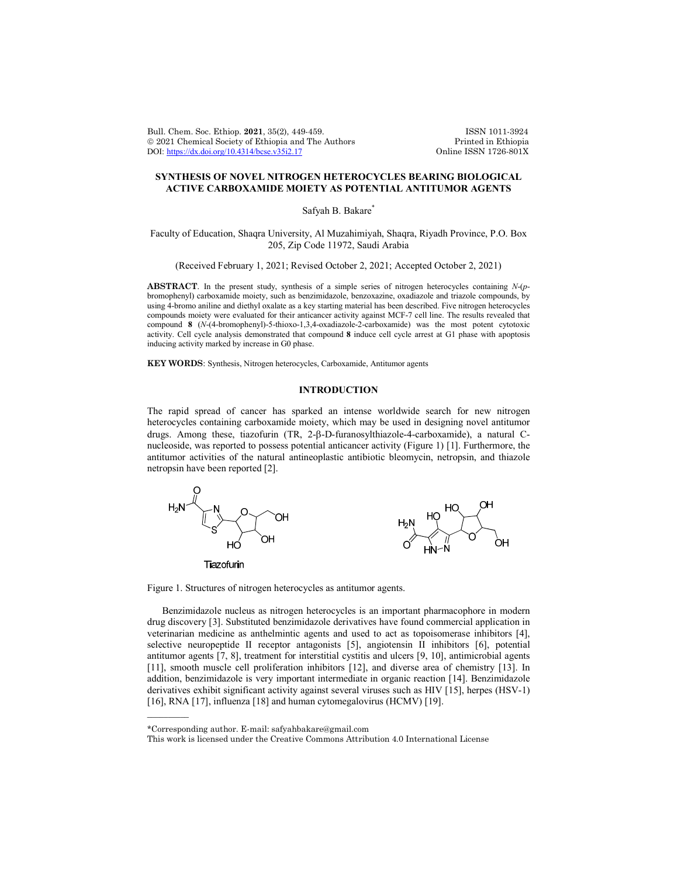Bull. Chem. Soc. Ethiop. 2021, 35(2), 449-459.<br>
© 2021 Chemical Society of Ethiopia and The Authors Printed in Ethiopia © 2021 Chemical Society of Ethiopia and The Authors Printed in Ethiopia DOI: https://dx.doi.org/10.4314/bcse.v35i2.17 DOI: https://dx.doi.org/10.4314/bcse.v35i2.17

# **SYNTHESIS OF NOVEL NITROGEN HETEROCYCLES BEARING BIOLOGICAL ACTIVE CARBOXAMIDE MOIETY AS POTENTIAL ANTITUMOR AGENTS**

Safyah B. Bakare<sup>\*</sup>

Faculty of Education, Shaqra University, Al Muzahimiyah, Shaqra, Riyadh Province, P.O. Box 205, Zip Code 11972, Saudi Arabia

(Received February 1, 2021; Revised October 2, 2021; Accepted October 2, 2021)

**ABSTRACT**. In the present study, synthesis of a simple series of nitrogen heterocycles containing *N*-(*p*bromophenyl) carboxamide moiety, such as benzimidazole, benzoxazine, oxadiazole and triazole compounds, by using 4-bromo aniline and diethyl oxalate as a key starting material has been described. Five nitrogen heterocycles compounds moiety were evaluated for their anticancer activity against MCF-7 cell line. The results revealed that compound **8** (*N*-(4-bromophenyl)-5-thioxo-1,3,4-oxadiazole-2-carboxamide) was the most potent cytotoxic activity. Cell cycle analysis demonstrated that compound **8** induce cell cycle arrest at G1 phase with apoptosis inducing activity marked by increase in G0 phase.

**KEY WORDS**: Synthesis, Nitrogen heterocycles, Carboxamide, Antitumor agents

# **INTRODUCTION**

The rapid spread of cancer has sparked an intense worldwide search for new nitrogen heterocycles containing carboxamide moiety, which may be used in designing novel antitumor drugs. Among these, tiazofurin  $(TR, 2-\beta-D-furanosylthiazole-4-carboxamide)$ , a natural Cnucleoside, was reported to possess potential anticancer activity (Figure 1) [1]. Furthermore, the antitumor activities of the natural antineoplastic antibiotic bleomycin, netropsin, and thiazole netropsin have been reported [2].



Figure 1. Structures of nitrogen heterocycles as antitumor agents.

Benzimidazole nucleus as nitrogen heterocycles is an important pharmacophore in modern drug discovery [3]. Substituted benzimidazole derivatives have found commercial application in veterinarian medicine as anthelmintic agents and used to act as topoisomerase inhibitors [4], selective neuropeptide II receptor antagonists [5], angiotensin II inhibitors [6], potential antitumor agents [7, 8], treatment for interstitial cystitis and ulcers [9, 10], antimicrobial agents [11], smooth muscle cell proliferation inhibitors [12], and diverse area of chemistry [13]. In addition, benzimidazole is very important intermediate in organic reaction [14]. Benzimidazole derivatives exhibit significant activity against several viruses such as HIV [15], herpes (HSV-1) [16], RNA [17], influenza [18] and human cytomegalovirus (HCMV) [19].

 $\overline{\phantom{a}}$ 

<sup>\*</sup>Corresponding author. E-mail: safyahbakare@gmail.com

This work is licensed under the Creative Commons Attribution 4.0 International License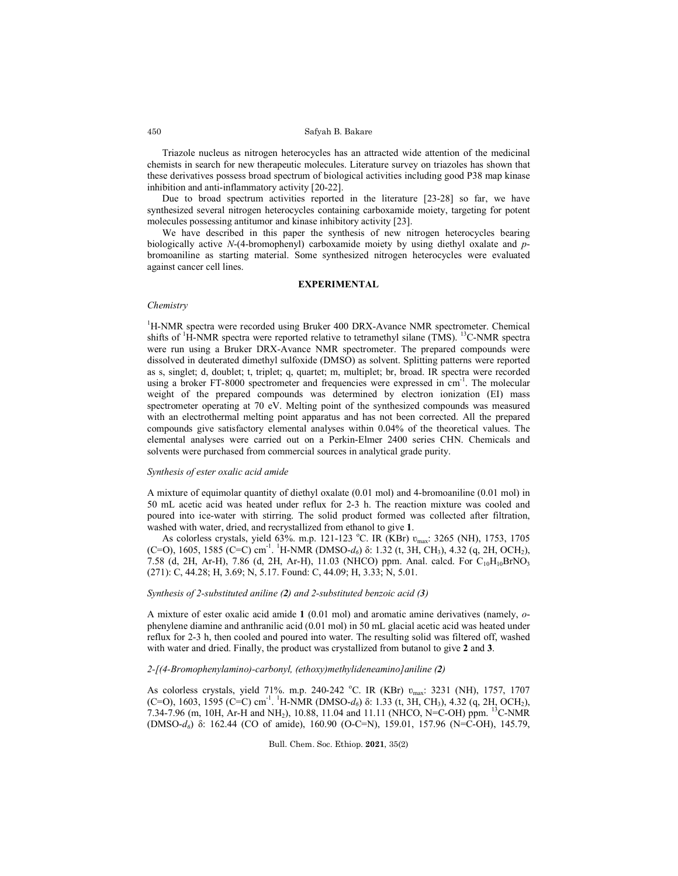Triazole nucleus as nitrogen heterocycles has an attracted wide attention of the medicinal chemists in search for new therapeutic molecules. Literature survey on triazoles has shown that these derivatives possess broad spectrum of biological activities including good P38 map kinase inhibition and anti-inflammatory activity [20-22].

Due to broad spectrum activities reported in the literature [23-28] so far, we have synthesized several nitrogen heterocycles containing carboxamide moiety, targeting for potent molecules possessing antitumor and kinase inhibitory activity [23].

We have described in this paper the synthesis of new nitrogen heterocycles bearing biologically active *N*-(4-bromophenyl) carboxamide moiety by using diethyl oxalate and *p*bromoaniline as starting material. Some synthesized nitrogen heterocycles were evaluated against cancer cell lines.

## **EXPERIMENTAL**

### *Chemistry*

<sup>1</sup>H-NMR spectra were recorded using Bruker 400 DRX-Avance NMR spectrometer. Chemical shifts of <sup>1</sup>H-NMR spectra were reported relative to tetramethyl silane (TMS). <sup>13</sup>C-NMR spectra were run using a Bruker DRX-Avance NMR spectrometer. The prepared compounds were dissolved in deuterated dimethyl sulfoxide (DMSO) as solvent. Splitting patterns were reported as s, singlet; d, doublet; t, triplet; q, quartet; m, multiplet; br, broad. IR spectra were recorded using a broker FT-8000 spectrometer and frequencies were expressed in cm<sup>-1</sup>. The molecular weight of the prepared compounds was determined by electron ionization (EI) mass spectrometer operating at 70 eV. Melting point of the synthesized compounds was measured with an electrothermal melting point apparatus and has not been corrected. All the prepared compounds give satisfactory elemental analyses within 0.04% of the theoretical values. The elemental analyses were carried out on a Perkin-Elmer 2400 series CHN. Chemicals and solvents were purchased from commercial sources in analytical grade purity.

# *Synthesis of ester oxalic acid amide*

A mixture of equimolar quantity of diethyl oxalate (0.01 mol) and 4-bromoaniline (0.01 mol) in 50 mL acetic acid was heated under reflux for 2-3 h. The reaction mixture was cooled and poured into ice-water with stirring. The solid product formed was collected after filtration, washed with water, dried, and recrystallized from ethanol to give **1**.

As colorless crystals, yield 63%. m.p. 121-123 °C. IR (KBr)  $v_{\text{max}}$ : 3265 (NH), 1753, 1705 (C=O), 1605, 1585 (C=C) cm-1 . 1 H-NMR (DMSO-*d6*) δ: 1.32 (t, 3H, CH3), 4.32 (q, 2H, OCH2), 7.58 (d, 2H, Ar-H), 7.86 (d, 2H, Ar-H), 11.03 (NHCO) ppm. Anal. calcd. For  $C_{10}H_{10}BrNO<sub>3</sub>$ (271): C, 44.28; H, 3.69; N, 5.17. Found: C, 44.09; H, 3.33; N, 5.01.

#### *Synthesis of 2-substituted aniline (2) and 2-substituted benzoic acid (3)*

A mixture of ester oxalic acid amide **1** (0.01 mol) and aromatic amine derivatives (namely, *o*phenylene diamine and anthranilic acid (0.01 mol) in 50 mL glacial acetic acid was heated under reflux for 2-3 h, then cooled and poured into water. The resulting solid was filtered off, washed with water and dried. Finally, the product was crystallized from butanol to give **2** and **3**.

### *2-[(4-Bromophenylamino)-carbonyl, (ethoxy)methylideneamino]aniline (2)*

As colorless crystals, yield 71%. m.p. 240-242 °C. IR (KBr)  $v_{\text{max}}$ : 3231 (NH), 1757, 1707 (C=O), 1603, 1595 (C=C) cm<sup>-1</sup>. <sup>1</sup>H-NMR (DMSO- $d_6$ ) δ: 1.33 (t, 3H, CH<sub>3</sub>), 4.32 (q, 2H, OCH<sub>2</sub>), 7.34-7.96 (m, 10H, Ar-H and NH<sub>2</sub>), 10.88, 11.04 and 11.11 (NHCO, N=C-OH) ppm. <sup>13</sup>C-NMR (DMSO-*d6*) δ: 162.44 (CO of amide), 160.90 (O-C=N), 159.01, 157.96 (N=C-OH), 145.79,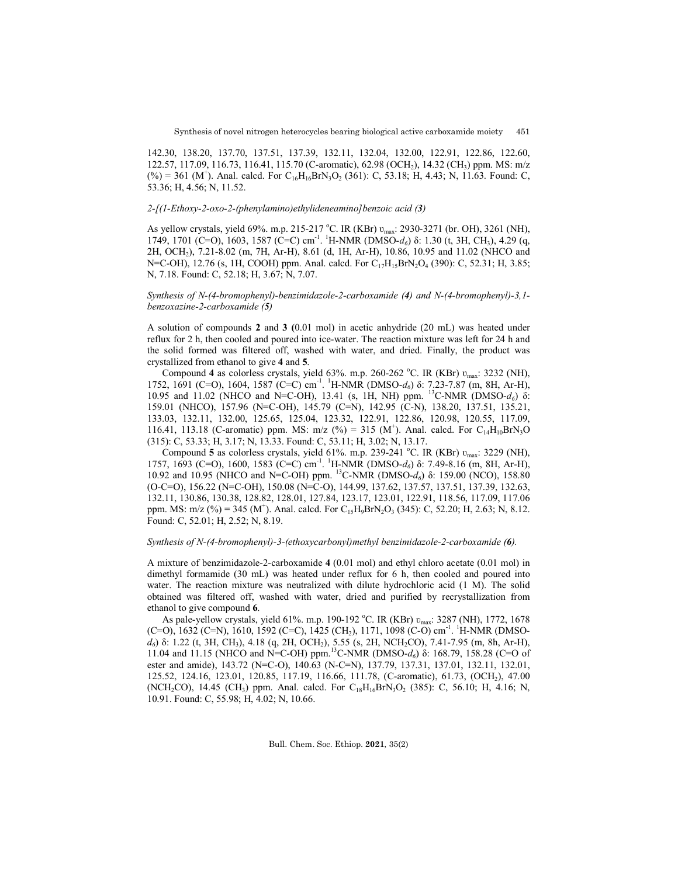142.30, 138.20, 137.70, 137.51, 137.39, 132.11, 132.04, 132.00, 122.91, 122.86, 122.60, 122.57, 117.09, 116.73, 116.41, 115.70 (C-aromatic), 62.98 (OCH<sub>2</sub>), 14.32 (CH<sub>3</sub>) ppm. MS: m/z  $(\%)=361 \text{ (M}^{\dagger})$ . Anal. calcd. For C<sub>16</sub>H<sub>16</sub>BrN<sub>3</sub>O<sub>2</sub> (361): C, 53.18; H, 4.43; N, 11.63. Found: C, 53.36; H, 4.56; N, 11.52.

## *2-[(1-Ethoxy-2-oxo-2-(phenylamino)ethylideneamino]benzoic acid (3)*

As yellow crystals, yield 69%. m.p. 215-217 °C. IR (KBr)  $v_{\text{max}}$ : 2930-3271 (br. OH), 3261 (NH), 1749, 1701 (C=O), 1603, 1587 (C=C) cm<sup>-1</sup>. <sup>1</sup>H-NMR (DMSO-*d<sub>6</sub>*) δ: 1.30 (t, 3H, CH<sub>3</sub>), 4.29 (q, 2H, OCH2), 7.21-8.02 (m, 7H, Ar-H), 8.61 (d, 1H, Ar-H), 10.86, 10.95 and 11.02 (NHCO and N=C-OH), 12.76 (s, 1H, COOH) ppm. Anal. calcd. For  $C_{17}H_{15}BrN_2O_4$  (390): C, 52.31; H, 3.85; N, 7.18. Found: C, 52.18; H, 3.67; N, 7.07.

# *Synthesis of N-(4-bromophenyl)-benzimidazole-2-carboxamide (4) and N-(4-bromophenyl)-3,1 benzoxazine-2-carboxamide (5)*

A solution of compounds **2** and **3 (**0.01 mol) in acetic anhydride (20 mL) was heated under reflux for 2 h, then cooled and poured into ice-water. The reaction mixture was left for 24 h and the solid formed was filtered off, washed with water, and dried. Finally, the product was crystallized from ethanol to give **4** and **5**.

Compound 4 as colorless crystals, yield 63%. m.p. 260-262 °C. IR (KBr)  $v_{\text{max}}$ : 3232 (NH), 1752, 1691 (C=O), 1604, 1587 (C=C) cm<sup>-1</sup>. <sup>1</sup>H-NMR (DMSO-d<sub>6</sub>) δ: 7.23-7.87 (m, 8H, Ar-H), 10.95 and 11.02 (NHCO and N=C-OH), 13.41 (s, 1H, NH) ppm. 13C-NMR (DMSO-*d6*) δ: 159.01 (NHCO), 157.96 (N=C-OH), 145.79 (C=N), 142.95 (C-N), 138.20, 137.51, 135.21, 133.03, 132.11, 132.00, 125.65, 125.04, 123.32, 122.91, 122.86, 120.98, 120.55, 117.09, 116.41, 113.18 (C-aromatic) ppm. MS: m/z (%) = 315 (M<sup>+</sup>). Anal. calcd. For C<sub>14</sub>H<sub>10</sub>BrN<sub>3</sub>O (315): C, 53.33; H, 3.17; N, 13.33. Found: C, 53.11; H, 3.02; N, 13.17.

Compound 5 as colorless crystals, yield 61%. m.p. 239-241 °C. IR (KBr)  $v_{\text{max}}$ : 3229 (NH), 1757, 1693 (C=O), 1600, 1583 (C=C) cm<sup>-1</sup>. <sup>1</sup>H-NMR (DMSO-d<sub>6</sub>) δ: 7.49-8.16 (m, 8H, Ar-H), 10.92 and 10.95 (NHCO and N=C-OH) ppm. 13C-NMR (DMSO-*d6*) δ: 159.00 (NCO), 158.80 (O-C=O), 156.22 (N=C-OH), 150.08 (N=C-O), 144.99, 137.62, 137.57, 137.51, 137.39, 132.63, 132.11, 130.86, 130.38, 128.82, 128.01, 127.84, 123.17, 123.01, 122.91, 118.56, 117.09, 117.06 ppm. MS: m/z (%) = 345 (M<sup>+</sup>). Anal. calcd. For C<sub>15</sub>H<sub>9</sub>BrN<sub>2</sub>O<sub>3</sub> (345): C, 52.20; H, 2.63; N, 8.12. Found: C, 52.01; H, 2.52; N, 8.19.

### *Synthesis of N-(4-bromophenyl)-3-(ethoxycarbonyl)methyl benzimidazole-2-carboxamide (6).*

A mixture of benzimidazole-2-carboxamide **4** (0.01 mol) and ethyl chloro acetate (0.01 mol) in dimethyl formamide (30 mL) was heated under reflux for 6 h, then cooled and poured into water. The reaction mixture was neutralized with dilute hydrochloric acid (1 M). The solid obtained was filtered off, washed with water, dried and purified by recrystallization from ethanol to give compound **6**.

As pale-yellow crystals, yield 61%. m.p. 190-192 °C. IR (KBr)  $v_{\text{max}}$ : 3287 (NH), 1772, 1678 (C=O), 1632 (C=N), 1610, 1592 (C=C), 1425 (CH<sub>2</sub>), 1171, 1098 (C-O) cm<sup>-1</sup>. <sup>1</sup>H-NMR (DMSO $d_6$ ) δ: 1.22 (t, 3H, CH<sub>3</sub>), 4.18 (q, 2H, OCH<sub>2</sub>), 5.55 (s, 2H, NCH<sub>2</sub>CO), 7.41-7.95 (m, 8h, Ar-H), 11.04 and 11.15 (NHCO and N=C-OH) ppm.13C-NMR (DMSO-*d6*) δ: 168.79, 158.28 (C=O of ester and amide), 143.72 (N=C-O), 140.63 (N-C=N), 137.79, 137.31, 137.01, 132.11, 132.01, 125.52, 124.16, 123.01, 120.85, 117.19, 116.66, 111.78, (C-aromatic), 61.73, (OCH2), 47.00 (NCH<sub>2</sub>CO), 14.45 (CH<sub>3</sub>) ppm. Anal. calcd. For  $C_{18}H_{16}BrN_3O_2$  (385): C, 56.10; H, 4.16; N, 10.91. Found: C, 55.98; H, 4.02; N, 10.66.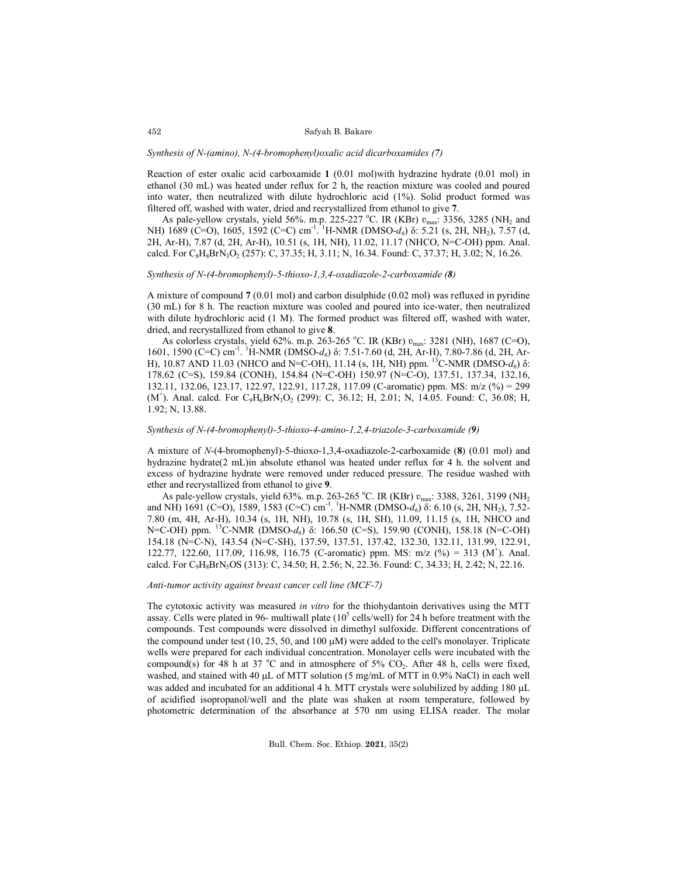### *Synthesis of N-(amino), N-(4-bromophenyl)oxalic acid dicarboxamides (7)*

Reaction of ester oxalic acid carboxamide **1** (0.01 mol)with hydrazine hydrate (0.01 mol) in ethanol (30 mL) was heated under reflux for 2 h, the reaction mixture was cooled and poured into water, then neutralized with dilute hydrochloric acid (1%). Solid product formed was filtered off, washed with water, dried and recrystallized from ethanol to give **7**.

As pale-yellow crystals, yield 56%. m.p. 225-227 °C. IR (KBr)  $v_{\text{max}}$ : 3356, 3285 (NH<sub>2</sub> and NH) 1689 (C=O), 1605, 1592 (C=C) cm<sup>-1</sup>. <sup>1</sup>H-NMR (DMSO-d<sub>6</sub>) δ: 5.21 (s, 2H, NH<sub>2</sub>), 7.57 (d, 2H, Ar-H), 7.87 (d, 2H, Ar-H), 10.51 (s, 1H, NH), 11.02, 11.17 (NHCO, N=C-OH) ppm. Anal. calcd. For  $C_8H_8BrN_3O_2$  (257): C, 37.35; H, 3.11; N, 16.34. Found: C, 37.37; H, 3.02; N, 16.26.

# *Synthesis of N-(4-bromophenyl)-5-thioxo-1,3,4-oxadiazole-2-carboxamide (8)*

A mixture of compound **7** (0.01 mol) and carbon disulphide (0.02 mol) was refluxed in pyridine (30 mL) for 8 h. The reaction mixture was cooled and poured into ice-water, then neutralized with dilute hydrochloric acid (1 M). The formed product was filtered off, washed with water, dried, and recrystallized from ethanol to give **8**.

As colorless crystals, yield 62%. m.p. 263-265 °C. IR (KBr)  $v_{\text{max}}$ : 3281 (NH), 1687 (C=O), 1601, 1590 (C=C) cm<sup>-1</sup>. <sup>1</sup>H-NMR (DMSO-*d<sub>6</sub>*) δ: 7.51-7.60 (d, 2H, Ar-H), 7.80-7.86 (d, 2H, Ar-H), 10.87 AND 11.03 (NHCO and N=C-OH), 11.14 (s, 1H, NH) ppm. <sup>13</sup>C-NMR (DMSO- $d_6$ ) δ: 178.62 (C=S), 159.84 (CONH), 154.84 (N=C-OH) 150.97 (N=C-O), 137.51, 137.34, 132.16, 132.11, 132.06, 123.17, 122.97, 122.91, 117.28, 117.09 (C-aromatic) ppm. MS: m/z (%) = 299 (M<sup>+</sup>). Anal. calcd. For  $C_9H_6BrN_3O_2$  (299): C, 36.12; H, 2.01; N, 14.05. Found: C, 36.08; H, 1.92; N, 13.88.

### *Synthesis of N-(4-bromophenyl)-5-thioxo-4-amino-1,2,4-triazole-3-carboxamide (9)*

A mixture of *N*-(4-bromophenyl)-5-thioxo-1,3,4-oxadiazole-2-carboxamide (**8**) (0.01 mol) and hydrazine hydrate(2 mL)in absolute ethanol was heated under reflux for 4 h. the solvent and excess of hydrazine hydrate were removed under reduced pressure. The residue washed with ether and recrystallized from ethanol to give **9**.

As pale-yellow crystals, yield 63%. m.p. 263-265 °C. IR (KBr)  $v_{\text{max}}$ : 3388, 3261, 3199 (NH<sub>2</sub> and NH<sub>1</sub>) 1691 (C=O), 1589, 1583 (C=C) cm<sup>-1</sup>. <sup>1</sup>H-NMR (DMSO-d<sub>6</sub>) δ: 6.10 (s, 2H, NH<sub>2</sub>), 7.52-7.80 (m, 4H, Ar-H), 10.34 (s, 1H, NH), 10.78 (s, 1H, SH), 11.09, 11.15 (s, 1H, NHCO and N=C-OH) ppm. <sup>13</sup>C-NMR (DMSO-d<sub>6</sub>) δ: 166.50 (C=S), 159.90 (CONH), 158.18 (N=C-OH) 154.18 (N=C-N), 143.54 (N=C-SH), 137.59, 137.51, 137.42, 132.30, 132.11, 131.99, 122.91, 122.77, 122.60, 117.09, 116.98, 116.75 (C-aromatic) ppm. MS: m/z (%) = 313 (M<sup>+</sup> ). Anal. calcd. For C<sub>9</sub>H<sub>8</sub>BrN<sub>5</sub>OS (313): C, 34.50; H, 2.56; N, 22.36. Found: C, 34.33; H, 2.42; N, 22.16.

### *Anti-tumor activity against breast cancer cell line (MCF-7)*

The cytotoxic activity was measured *in vitro* for the thiohydantoin derivatives using the MTT assay. Cells were plated in 96- multiwall plate  $(10^5 \text{ cells/well})$  for 24 h before treatment with the compounds. Test compounds were dissolved in dimethyl sulfoxide. Different concentrations of the compound under test (10, 25, 50, and 100  $\mu$ M) were added to the cell's monolayer. Triplicate wells were prepared for each individual concentration. Monolayer cells were incubated with the compound(s) for 48 h at 37 °C and in atmosphere of 5%  $CO_2$ . After 48 h, cells were fixed, washed, and stained with 40  $\mu$ L of MTT solution (5 mg/mL of MTT in 0.9% NaCl) in each well was added and incubated for an additional 4 h. MTT crystals were solubilized by adding 180 µL of acidified isopropanol/well and the plate was shaken at room temperature, followed by photometric determination of the absorbance at 570 nm using ELISA reader. The molar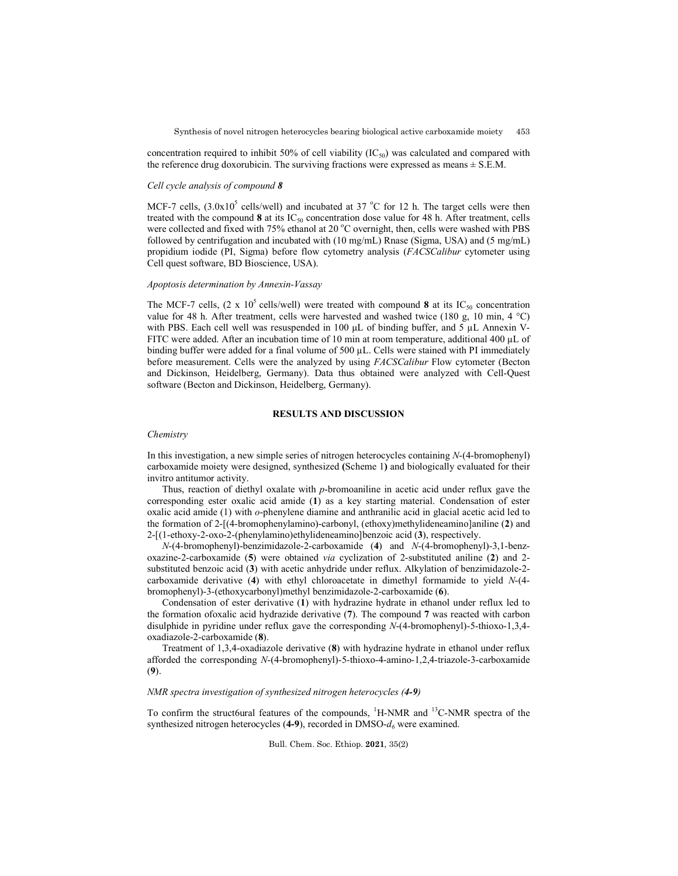concentration required to inhibit 50% of cell viability  $(IC_{50})$  was calculated and compared with the reference drug doxorubicin. The surviving fractions were expressed as means  $\pm$  S.E.M.

#### *Cell cycle analysis of compound 8*

MCF-7 cells,  $(3.0x10<sup>5</sup>$  cells/well) and incubated at 37 °C for 12 h. The target cells were then treated with the compound 8 at its IC<sub>50</sub> concentration dose value for 48 h. After treatment, cells were collected and fixed with 75% ethanol at 20 °C overnight, then, cells were washed with PBS followed by centrifugation and incubated with (10 mg/mL) Rnase (Sigma, USA) and (5 mg/mL) propidium iodide (PI, Sigma) before flow cytometry analysis (*FACSCalibur* cytometer using Cell quest software, BD Bioscience, USA).

## *Apoptosis determination by Annexin-Vassay*

The MCF-7 cells,  $(2 \times 10^5 \text{ cells/well})$  were treated with compound **8** at its IC<sub>50</sub> concentration value for 48 h. After treatment, cells were harvested and washed twice (180 g, 10 min, 4 °C) with PBS. Each cell well was resuspended in 100 μL of binding buffer, and 5 µL Annexin V-FITC were added. After an incubation time of 10 min at room temperature, additional 400 µL of binding buffer were added for a final volume of 500 µL. Cells were stained with PI immediately before measurement. Cells were the analyzed by using *FACSCalibur* Flow cytometer (Becton and Dickinson, Heidelberg, Germany). Data thus obtained were analyzed with Cell-Quest software (Becton and Dickinson, Heidelberg, Germany).

# **RESULTS AND DISCUSSION**

### *Chemistry*

In this investigation, a new simple series of nitrogen heterocycles containing *N*-(4-bromophenyl) carboxamide moiety were designed, synthesized **(**Scheme 1**)** and biologically evaluated for their invitro antitumor activity.

Thus, reaction of diethyl oxalate with *p*-bromoaniline in acetic acid under reflux gave the corresponding ester oxalic acid amide (**1**) as a key starting material. Condensation of ester oxalic acid amide (1) with *o*-phenylene diamine and anthranilic acid in glacial acetic acid led to the formation of 2-[(4-bromophenylamino)-carbonyl, (ethoxy)methylideneamino]aniline (**2**) and 2-[(1-ethoxy-2-oxo-2-(phenylamino)ethylideneamino]benzoic acid (**3**), respectively.

*N*-(4-bromophenyl)-benzimidazole-2-carboxamide (**4**) and *N*-(4-bromophenyl)-3,1-benzoxazine-2-carboxamide (**5**) were obtained *via* cyclization of 2-substituted aniline (**2**) and 2 substituted benzoic acid (**3**) with acetic anhydride under reflux. Alkylation of benzimidazole-2 carboxamide derivative (**4**) with ethyl chloroacetate in dimethyl formamide to yield *N*-(4 bromophenyl)-3-(ethoxycarbonyl)methyl benzimidazole-2-carboxamide (**6**).

Condensation of ester derivative (**1**) with hydrazine hydrate in ethanol under reflux led to the formation ofoxalic acid hydrazide derivative (**7**). The compound **7** was reacted with carbon disulphide in pyridine under reflux gave the corresponding *N*-(4-bromophenyl)-5-thioxo-1,3,4 oxadiazole-2-carboxamide (**8**).

Treatment of 1,3,4-oxadiazole derivative (**8**) with hydrazine hydrate in ethanol under reflux afforded the corresponding *N*-(4-bromophenyl)-5-thioxo-4-amino-1,2,4-triazole-3-carboxamide (**9**).

# *NMR spectra investigation of synthesized nitrogen heterocycles (4-9)*

To confirm the struct6ural features of the compounds, <sup>1</sup>H-NMR and <sup>13</sup>C-NMR spectra of the synthesized nitrogen heterocycles (4-9), recorded in DMSO- $d_6$  were examined.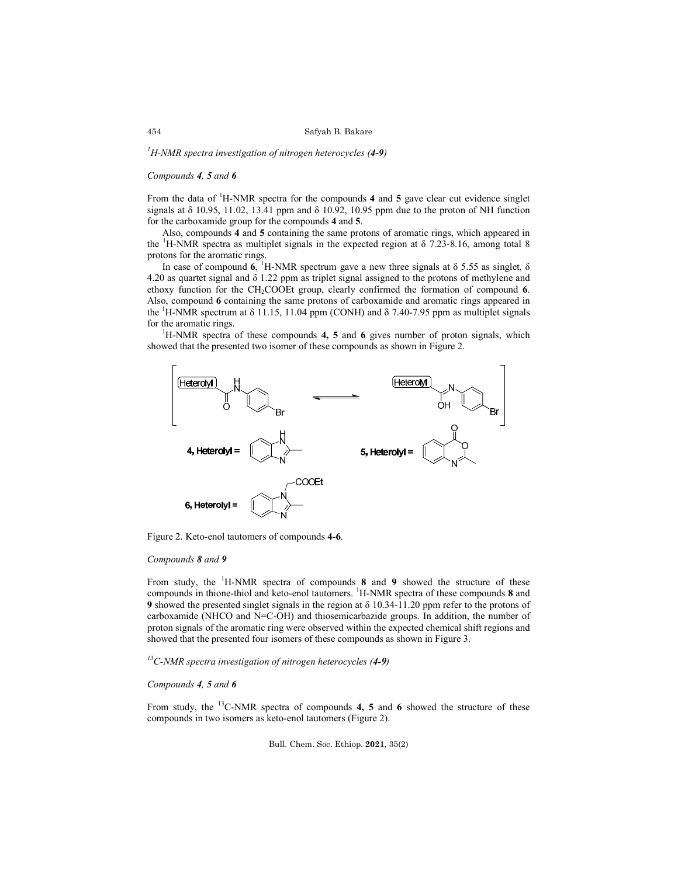*1 H-NMR spectra investigation of nitrogen heterocycles (4-9)*

# *Compounds 4, 5 and 6*

From the data of <sup>1</sup>H-NMR spectra for the compounds 4 and 5 gave clear cut evidence singlet signals at  $\delta$  10.95, 11.02, 13.41 ppm and  $\delta$  10.92, 10.95 ppm due to the proton of NH function for the carboxamide group for the compounds **4** and **5**.

Also, compounds **4** and **5** containing the same protons of aromatic rings, which appeared in the <sup>1</sup>H-NMR spectra as multiplet signals in the expected region at  $\delta$  7.23-8.16, among total 8 protons for the aromatic rings.

In case of compound  $6$ , <sup>1</sup>H-NMR spectrum gave a new three signals at  $\delta$  5.55 as singlet,  $\delta$ 4.20 as quartet signal and δ 1.22 ppm as triplet signal assigned to the protons of methylene and ethoxy function for the CH2COOEt group, clearly confirmed the formation of compound **6**. Also, compound **6** containing the same protons of carboxamide and aromatic rings appeared in the <sup>1</sup>H-NMR spectrum at  $\delta$  11.15, 11.04 ppm (CONH) and  $\delta$  7.40-7.95 ppm as multiplet signals for the aromatic rings.

H-NMR spectra of these compounds **4, 5** and **6** gives number of proton signals, which showed that the presented two isomer of these compounds as shown in Figure 2.



Figure 2. Keto-enol tautomers of compounds **4-6**.

# *Compounds 8 and 9*

From study, the <sup>1</sup> H-NMR spectra of compounds **8** and **9** showed the structure of these compounds in thione-thiol and keto-enol tautomers. <sup>1</sup> H-NMR spectra of these compounds **8** and **9** showed the presented singlet signals in the region at δ 10.34-11.20 ppm refer to the protons of carboxamide (NHCO and N=C-OH) and thiosemicarbazide groups. In addition, the number of proton signals of the aromatic ring were observed within the expected chemical shift regions and showed that the presented four isomers of these compounds as shown in Figure 3.

*13C-NMR spectra investigation of nitrogen heterocycles (4-9)*

## *Compounds 4, 5 and 6*

From study, the  $^{13}$ C-NMR spectra of compounds 4, 5 and 6 showed the structure of these compounds in two isomers as keto-enol tautomers (Figure 2).

Bull. Chem. Soc. Ethiop. **2021**, 35(2)

### 454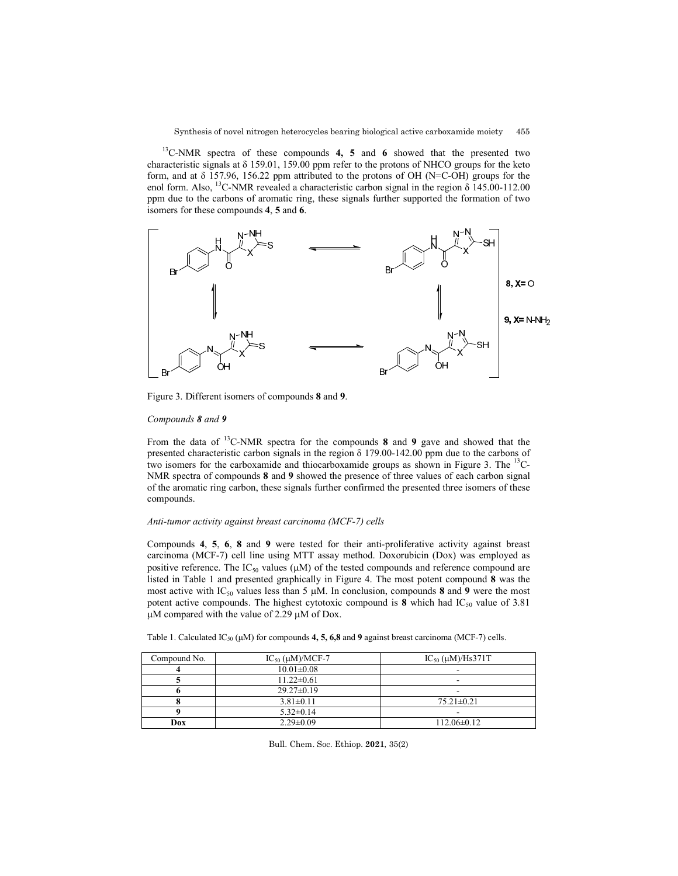13C-NMR spectra of these compounds **4, 5** and **6** showed that the presented two characteristic signals at δ 159.01, 159.00 ppm refer to the protons of NHCO groups for the keto form, and at δ 157.96, 156.22 ppm attributed to the protons of OH (N=C-OH) groups for the enol form. Also, <sup>13</sup>C-NMR revealed a characteristic carbon signal in the region  $\delta$  145.00-112.00 ppm due to the carbons of aromatic ring, these signals further supported the formation of two isomers for these compounds **4**, **5** and **6**.



Figure 3. Different isomers of compounds **8** and **9**.

# *Compounds 8 and 9*

From the data of 13C-NMR spectra for the compounds **8** and **9** gave and showed that the presented characteristic carbon signals in the region δ 179.00-142.00 ppm due to the carbons of two isomers for the carboxamide and thiocarboxamide groups as shown in Figure 3. The <sup>13</sup>C-NMR spectra of compounds **8** and **9** showed the presence of three values of each carbon signal of the aromatic ring carbon, these signals further confirmed the presented three isomers of these compounds.

# *Anti-tumor activity against breast carcinoma (MCF-7) cells*

Compounds **4**, **5**, **6**, **8** and **9** were tested for their anti-proliferative activity against breast carcinoma (MCF-7) cell line using MTT assay method. Doxorubicin (Dox) was employed as positive reference. The  $IC_{50}$  values ( $\mu$ M) of the tested compounds and reference compound are listed in Table 1 and presented graphically in Figure 4. The most potent compound **8** was the most active with  $IC_{50}$  values less than 5  $\mu$ M. In conclusion, compounds 8 and 9 were the most potent active compounds. The highest cytotoxic compound is  $\mathbf{8}$  which had IC<sub>50</sub> value of 3.81  $\mu$ M compared with the value of 2.29  $\mu$ M of Dox.

|  | Table 1. Calculated IC <sub>50</sub> ( $\mu$ M) for compounds 4, 5, 6,8 and 9 against breast carcinoma (MCF-7) cells. |  |  |  |  |  |  |  |
|--|-----------------------------------------------------------------------------------------------------------------------|--|--|--|--|--|--|--|
|--|-----------------------------------------------------------------------------------------------------------------------|--|--|--|--|--|--|--|

| Compound No. | $IC_{50}$ ( $\mu$ M)/MCF-7 | $IC_{50}$ ( $\mu$ M)/Hs371T |  |  |
|--------------|----------------------------|-----------------------------|--|--|
|              | $10.01 \pm 0.08$           |                             |  |  |
|              | $11.22 \pm 0.61$           | ۰                           |  |  |
|              | $29.27 \pm 0.19$           | ۰                           |  |  |
|              | $3.81 \pm 0.11$            | $75.21 \pm 0.21$            |  |  |
|              | $5.32 \pm 0.14$            | -                           |  |  |
| Dox          | $2.29 \pm 0.09$            | $112.06 \pm 0.12$           |  |  |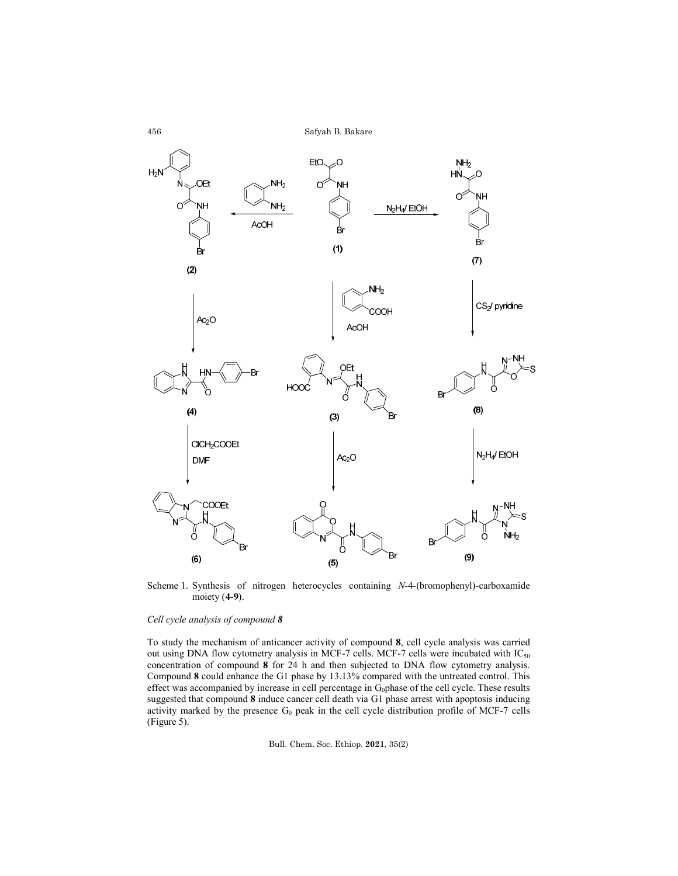

Scheme 1. Synthesis of nitrogen heterocycles containing *N*-4-(bromophenyl)-carboxamide moiety (**4-9**).

# *Cell cycle analysis of compound 8*

To study the mechanism of anticancer activity of compound **8**, cell cycle analysis was carried out using DNA flow cytometry analysis in MCF-7 cells. MCF-7 cells were incubated with  $IC_{50}$ concentration of compound **8** for 24 h and then subjected to DNA flow cytometry analysis. Compound **8** could enhance the G1 phase by 13.13% compared with the untreated control. This effect was accompanied by increase in cell percentage in  $G_0$ phase of the cell cycle. These results suggested that compound **8** induce cancer cell death via G1 phase arrest with apoptosis inducing activity marked by the presence  $G_0$  peak in the cell cycle distribution profile of MCF-7 cells (Figure 5).

Bull. Chem. Soc. Ethiop. **2021**, 35(2)

456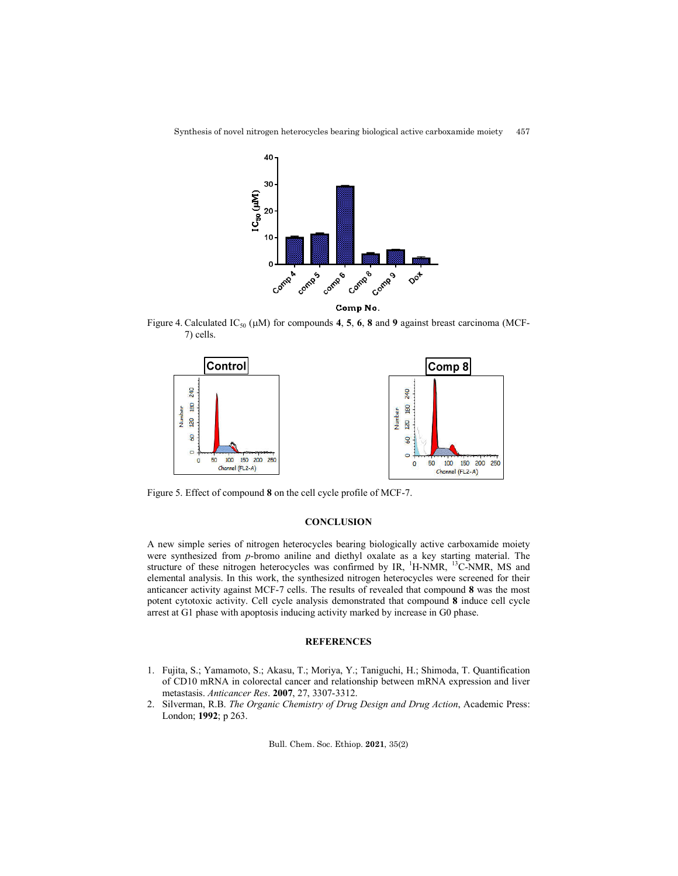

Synthesis of novel nitrogen heterocycles bearing biological active carboxamide moiety 457

Comp No.

Figure 4. Calculated  $IC_{50}$  ( $µM$ ) for compounds 4, 5, 6, 8 and 9 against breast carcinoma (MCF-7) cells.



Figure 5. Effect of compound **8** on the cell cycle profile of MCF-7.

# **CONCLUSION**

A new simple series of nitrogen heterocycles bearing biologically active carboxamide moiety were synthesized from *p*-bromo aniline and diethyl oxalate as a key starting material. The structure of these nitrogen heterocycles was confirmed by IR, <sup>1</sup>H-NMR, <sup>13</sup>C-NMR, MS and elemental analysis. In this work, the synthesized nitrogen heterocycles were screened for their anticancer activity against MCF-7 cells. The results of revealed that compound **8** was the most potent cytotoxic activity. Cell cycle analysis demonstrated that compound **8** induce cell cycle arrest at G1 phase with apoptosis inducing activity marked by increase in G0 phase.

#### **REFERENCES**

- 1. Fujita, S.; Yamamoto, S.; Akasu, T.; Moriya, Y.; Taniguchi, H.; Shimoda, T. Quantification of CD10 mRNA in colorectal cancer and relationship between mRNA expression and liver metastasis. *Anticancer Res*. **2007**, 27, 3307-3312.
- 2. Silverman, R.B. *The Organic Chemistry of Drug Design and Drug Action*, Academic Press: London; **1992**; p 263.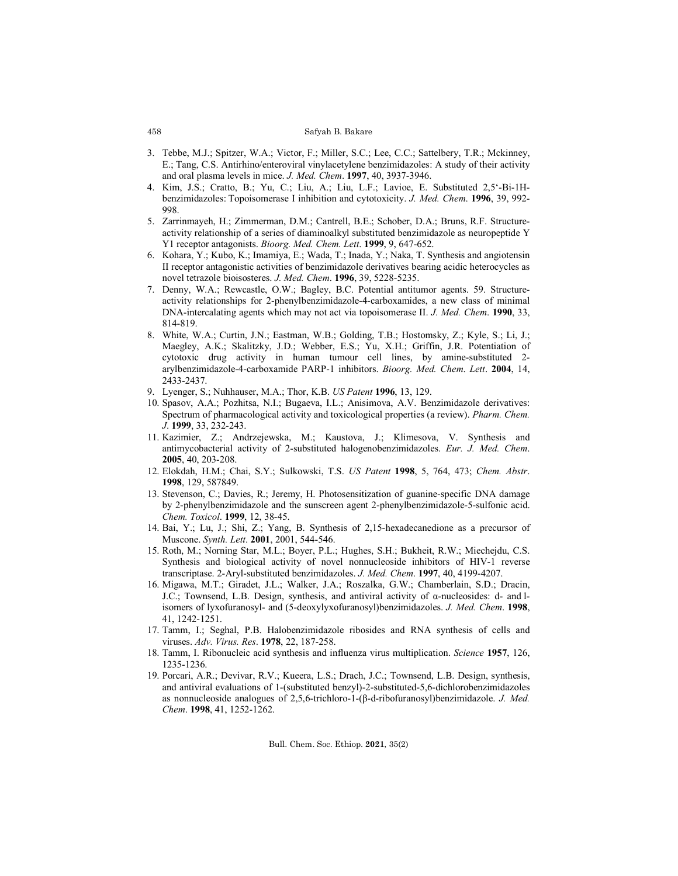- 3. Tebbe, M.J.; Spitzer, W.A.; Victor, F.; Miller, S.C.; Lee, C.C.; Sattelbery, T.R.; Mckinney, E.; Tang, C.S. Antirhino/enteroviral vinylacetylene benzimidazoles: A study of their activity and oral plasma levels in mice. *J. Med. Chem*. **1997**, 40, 3937-3946.
- 4. Kim, J.S.; Cratto, B.; Yu, C.; Liu, A.; Liu, L.F.; Lavioe, E. Substituted 2,5'-Bi-1Hbenzimidazoles: Topoisomerase I inhibition and cytotoxicity. *J. Med. Chem*. **1996**, 39, 992- 998.
- 5. Zarrinmayeh, H.; Zimmerman, D.M.; Cantrell, B.E.; Schober, D.A.; Bruns, R.F. Structureactivity relationship of a series of diaminoalkyl substituted benzimidazole as neuropeptide Y Y1 receptor antagonists. *Bioorg. Med. Chem. Lett*. **1999**, 9, 647-652.
- 6. Kohara, Y.; Kubo, K.; Imamiya, E.; Wada, T.; Inada, Y.; Naka, T. Synthesis and angiotensin II receptor antagonistic activities of benzimidazole derivatives bearing acidic heterocycles as novel tetrazole bioisosteres. *J. Med. Chem*. **1996**, 39, 5228-5235.
- 7. Denny, W.A.; Rewcastle, O.W.; Bagley, B.C. Potential antitumor agents. 59. Structureactivity relationships for 2-phenylbenzimidazole-4-carboxamides, a new class of minimal DNA-intercalating agents which may not act via topoisomerase II. *J. Med. Chem*. **1990**, 33, 814-819.
- 8. White, W.A.; Curtin, J.N.; Eastman, W.B.; Golding, T.B.; Hostomsky, Z.; Kyle, S.; Li, J.; Maegley, A.K.; Skalitzky, J.D.; Webber, E.S.; Yu, X.H.; Griffin, J.R. Potentiation of cytotoxic drug activity in human tumour cell lines, by amine-substituted 2 arylbenzimidazole-4-carboxamide PARP-1 inhibitors. *Bioorg. Med. Chem*. *Lett*. **2004**, 14, 2433-2437.
- 9. Lyenger, S.; Nuhhauser, M.A.; Thor, K.B. *US Patent* **1996**, 13, 129.
- 10. Spasov, A.A.; Pozhitsa, N.I.; Bugaeva, I.L.; Anisimova, A.V. Benzimidazole derivatives: Spectrum of pharmacological activity and toxicological properties (a review). *Pharm. Chem. J*. **1999**, 33, 232-243.
- 11. Kazimier, Z.; Andrzejewska, M.; Kaustova, J.; Klimesova, V. Synthesis and antimycobacterial activity of 2-substituted halogenobenzimidazoles. *Eur. J. Med. Chem*. **2005**, 40, 203-208.
- 12. Elokdah, H.M.; Chai, S.Y.; Sulkowski, T.S. *US Patent* **1998**, 5, 764, 473; *Chem. Abstr*. **1998**, 129, 587849.
- 13. Stevenson, C.; Davies, R.; Jeremy, H. Photosensitization of guanine-specific DNA damage by 2-phenylbenzimidazole and the sunscreen agent 2-phenylbenzimidazole-5-sulfonic acid. *Chem. Toxicol*. **1999**, 12, 38-45.
- 14. Bai, Y.; Lu, J.; Shi, Z.; Yang, B. Synthesis of 2,15-hexadecanedione as a precursor of Muscone. *Synth. Lett*. **2001**, 2001, 544-546.
- 15. Roth, M.; Norning Star, M.L.; Boyer, P.L.; Hughes, S.H.; Bukheit, R.W.; Miechejdu, C.S. Synthesis and biological activity of novel nonnucleoside inhibitors of HIV-1 reverse transcriptase. 2-Aryl-substituted benzimidazoles. *J. Med. Chem*. **1997**, 40, 4199-4207.
- 16. Migawa, M.T.; Giradet, J.L.; Walker, J.A.; Roszalka, G.W.; Chamberlain, S.D.; Dracin, J.C.; Townsend, L.B. Design, synthesis, and antiviral activity of  $\alpha$ -nucleosides: d- and lisomers of lyxofuranosyl- and (5-deoxylyxofuranosyl)benzimidazoles. *J. Med. Chem*. **1998**, 41, 1242-1251.
- 17. Tamm, I.; Seghal, P.B. Halobenzimidazole ribosides and RNA synthesis of cells and viruses. *Adv. Virus. Res*. **1978**, 22, 187-258.
- 18. Tamm, I. Ribonucleic acid synthesis and influenza virus multiplication. *Science* **1957**, 126, 1235-1236.
- 19. Porcari, A.R.; Devivar, R.V.; Kueera, L.S.; Drach, J.C.; Townsend, L.B. Design, synthesis, and antiviral evaluations of 1-(substituted benzyl)-2-substituted-5,6-dichlorobenzimidazoles as nonnucleoside analogues of 2,5,6-trichloro-1-(β-d-ribofuranosyl)benzimidazole. *J. Med. Chem*. **1998**, 41, 1252-1262.

Bull. Chem. Soc. Ethiop. **2021**, 35(2)

#### 458